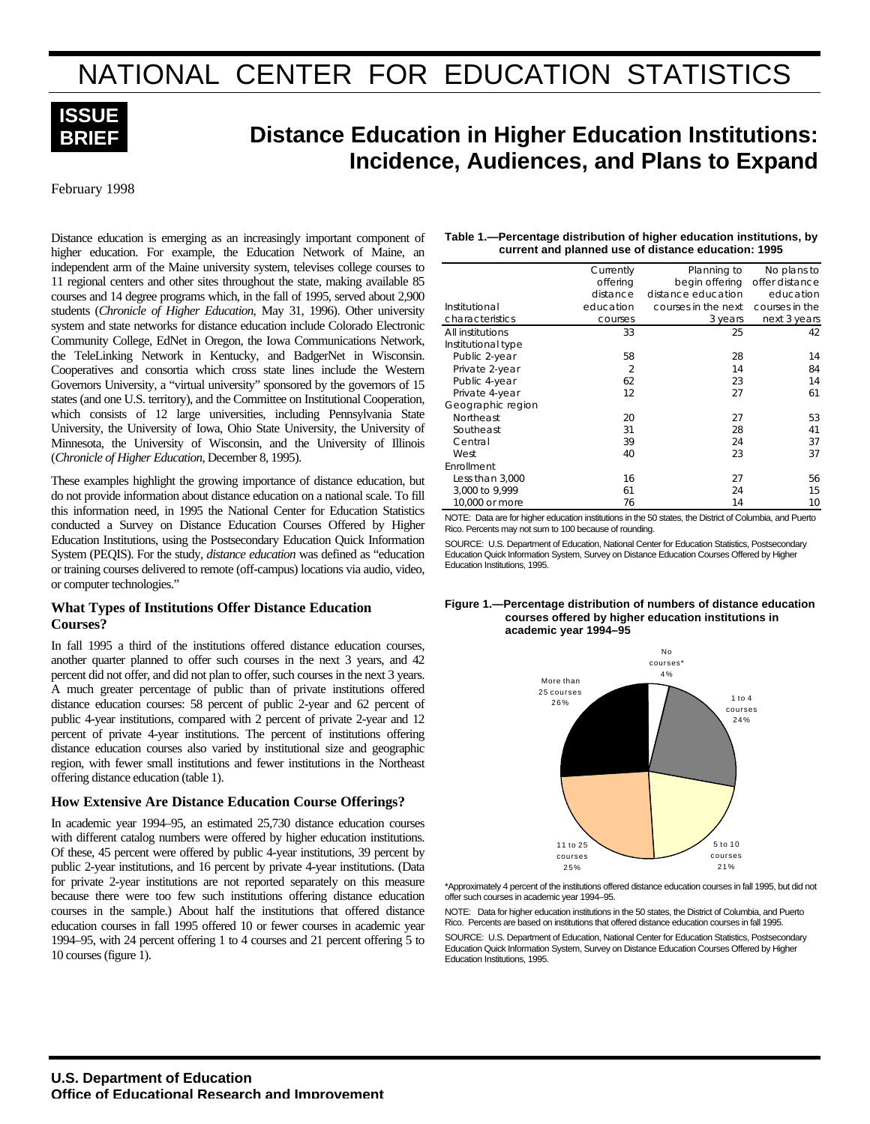# NATIONAL CENTER FOR EDUCATION STATISTICS



# **Distance Education in Higher Education Institutions: Incidence, Audiences, and Plans to Expand**

February 1998

Distance education is emerging as an increasingly important component of higher education. For example, the Education Network of Maine, an independent arm of the Maine university system, televises college courses to 11 regional centers and other sites throughout the state, making available 85 courses and 14 degree programs which, in the fall of 1995, served about 2,900 students (*Chronicle of Higher Education*, May 31, 1996). Other university system and state networks for distance education include Colorado Electronic Community College, EdNet in Oregon, the Iowa Communications Network, the TeleLinking Network in Kentucky, and BadgerNet in Wisconsin. Cooperatives and consortia which cross state lines include the Western Governors University, a "virtual university" sponsored by the governors of 15 states (and one U.S. territory), and the Committee on Institutional Cooperation, which consists of 12 large universities, including Pennsylvania State University, the University of Iowa, Ohio State University, the University of Minnesota, the University of Wisconsin, and the University of Illinois (*Chronicle of Higher Education*, December 8, 1995).

These examples highlight the growing importance of distance education, but do not provide information about distance education on a national scale. To fill this information need, in 1995 the National Center for Education Statistics conducted a Survey on Distance Education Courses Offered by Higher Education Institutions, using the Postsecondary Education Quick Information System (PEQIS). For the study, *distance education* was defined as "education or training courses delivered to remote (off-campus) locations via audio, video, or computer technologies."

#### **What Types of Institutions Offer Distance Education Courses?**

In fall 1995 a third of the institutions offered distance education courses, another quarter planned to offer such courses in the next 3 years, and 42 percent did not offer, and did not plan to offer, such courses in the next 3 years. A much greater percentage of public than of private institutions offered distance education courses: 58 percent of public 2-year and 62 percent of public 4-year institutions, compared with 2 percent of private 2-year and 12 percent of private 4-year institutions. The percent of institutions offering distance education courses also varied by institutional size and geographic region, with fewer small institutions and fewer institutions in the Northeast offering distance education (table 1).

#### **How Extensive Are Distance Education Course Offerings?**

In academic year 1994–95, an estimated 25,730 distance education courses with different catalog numbers were offered by higher education institutions. Of these, 45 percent were offered by public 4-year institutions, 39 percent by public 2-year institutions, and 16 percent by private 4-year institutions. (Data for private 2-year institutions are not reported separately on this measure because there were too few such institutions offering distance education courses in the sample.) About half the institutions that offered distance education courses in fall 1995 offered 10 or fewer courses in academic year 1994–95, with 24 percent offering 1 to 4 courses and 21 percent offering 5 to 10 courses (figure 1).

| Table 1.—Percentage distribution of higher education institutions, by |
|-----------------------------------------------------------------------|
| current and planned use of distance education: 1995                   |

|                    | Currently      | Planning to         |                |
|--------------------|----------------|---------------------|----------------|
|                    | offering       | begin offering      | offer distance |
|                    | distance       | distance education  | education      |
| Institutional      | education      | courses in the next | courses in the |
| characteristics    | courses        | 3 years             | next 3 years   |
| All institutions   | 33             | 25                  | 42             |
| Institutional type |                |                     |                |
| Public 2-year      | 58             | 28                  | 14             |
| Private 2-year     | $\overline{2}$ | 14                  | 84             |
| Public 4-year      | 62             | 23                  | 14             |
| Private 4-year     | 12             | 27                  | 61             |
| Geographic region  |                |                     |                |
| Northeast          | 20             | 27                  | 53             |
| Southeast          | 31             | 28                  | 41             |
| Central            | 39             | 24                  | 37             |
| West               | 40             | 23                  | 37             |
| Enrollment         |                |                     |                |
| Less than 3,000    | 16             | 27                  | 56             |
| 3,000 to 9,999     | 61             | 24                  | 15             |
| 10,000 or more     | 76             | 14                  | 10             |

NOTE: Data are for higher education institutions in the 50 states, the District of Columbia, and Puerto Rico. Percents may not sum to 100 because of rounding.

SOURCE: U.S. Department of Education, National Center for Education Statistics, Postsecondary Education Quick Information System, Survey on Distance Education Courses Offered by Higher Education Institutions, 1995.





\*Approximately 4 percent of the institutions offered distance education courses in fall 1995, but did not offer such courses in academic year 1994–95.

NOTE: Data for higher education institutions in the 50 states, the District of Columbia, and Puerto Rico. Percents are based on institutions that offered distance education courses in fall 1995. SOURCE: U.S. Department of Education, National Center for Education Statistics, Postsecondary Education Quick Information System, Survey on Distance Education Courses Offered by Higher Education Institutions, 1995.